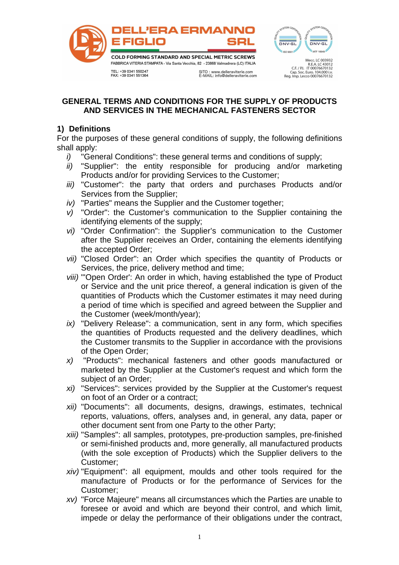



R.E.A. LC 43012<br>C.F. / P.I. IT 00076670132

Cap. Soc. Euro. 104.000 i.v.<br>Reg. Imp. Lecco 00076670132

TEL: +39 0341 550247<br>FAX: +39 0341 551364

### **GENERAL TERMS AND CONDITIONS FOR THE SUPPLY OF PRODUCTS AND SERVICES IN THE MECHANICAL FASTENERS SECTOR**

# **1) Definitions**

For the purposes of these general conditions of supply, the following definitions shall apply:

- i) "General Conditions": these general terms and conditions of supply;
- ii) "Supplier": the entity responsible for producing and/or marketing Products and/or for providing Services to the Customer;
- iii) "Customer": the party that orders and purchases Products and/or Services from the Supplier;
- iv) "Parties" means the Supplier and the Customer together;
- v) "Order": the Customer's communication to the Supplier containing the identifying elements of the supply;
- vi) "Order Confirmation": the Supplier's communication to the Customer after the Supplier receives an Order, containing the elements identifying the accepted Order;
- vii) "Closed Order": an Order which specifies the quantity of Products or Services, the price, delivery method and time;
- viii) "'Open Order': An order in which, having established the type of Product or Service and the unit price thereof, a general indication is given of the quantities of Products which the Customer estimates it may need during a period of time which is specified and agreed between the Supplier and the Customer (week/month/year);
- ix) "Delivery Release": a communication, sent in any form, which specifies the quantities of Products requested and the delivery deadlines, which the Customer transmits to the Supplier in accordance with the provisions of the Open Order;
- x) "Products": mechanical fasteners and other goods manufactured or marketed by the Supplier at the Customer's request and which form the subject of an Order;
- xi) "Services": services provided by the Supplier at the Customer's request on foot of an Order or a contract;
- xii) "Documents": all documents, designs, drawings, estimates, technical reports, valuations, offers, analyses and, in general, any data, paper or other document sent from one Party to the other Party;
- xiii) "Samples": all samples, prototypes, pre-production samples, pre-finished or semi-finished products and, more generally, all manufactured products (with the sole exception of Products) which the Supplier delivers to the Customer;
- xiv) "Equipment": all equipment, moulds and other tools required for the manufacture of Products or for the performance of Services for the Customer;
- xv) "Force Majeure" means all circumstances which the Parties are unable to foresee or avoid and which are beyond their control, and which limit, impede or delay the performance of their obligations under the contract,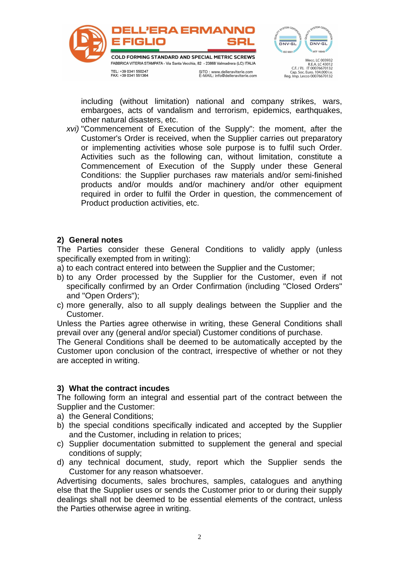

including (without limitation) national and company strikes, wars, embargoes, acts of vandalism and terrorism, epidemics, earthquakes, other natural disasters, etc.

xvi) "Commencement of Execution of the Supply": the moment, after the Customer's Order is received, when the Supplier carries out preparatory or implementing activities whose sole purpose is to fulfil such Order. Activities such as the following can, without limitation, constitute a Commencement of Execution of the Supply under these General Conditions: the Supplier purchases raw materials and/or semi-finished products and/or moulds and/or machinery and/or other equipment required in order to fulfil the Order in question, the commencement of Product production activities, etc.

#### **2) General notes**

The Parties consider these General Conditions to validly apply (unless specifically exempted from in writing):

a) to each contract entered into between the Supplier and the Customer;

- b) to any Order processed by the Supplier for the Customer, even if not specifically confirmed by an Order Confirmation (including "Closed Orders" and "Open Orders");
- c) more generally, also to all supply dealings between the Supplier and the Customer.

Unless the Parties agree otherwise in writing, these General Conditions shall prevail over any (general and/or special) Customer conditions of purchase.

The General Conditions shall be deemed to be automatically accepted by the Customer upon conclusion of the contract, irrespective of whether or not they are accepted in writing.

### **3) What the contract incudes**

The following form an integral and essential part of the contract between the Supplier and the Customer:

- a) the General Conditions;
- b) the special conditions specifically indicated and accepted by the Supplier and the Customer, including in relation to prices;
- c) Supplier documentation submitted to supplement the general and special conditions of supply;
- d) any technical document, study, report which the Supplier sends the Customer for any reason whatsoever.

Advertising documents, sales brochures, samples, catalogues and anything else that the Supplier uses or sends the Customer prior to or during their supply dealings shall not be deemed to be essential elements of the contract, unless the Parties otherwise agree in writing.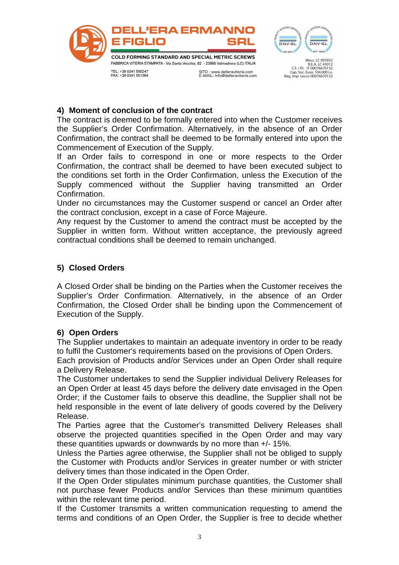



Cap. Soc. Euro. 104.000 i.v.<br>Reg. Imp. Lecco 00076670132

### **4) Moment of conclusion of the contract**

The contract is deemed to be formally entered into when the Customer receives the Supplier's Order Confirmation. Alternatively, in the absence of an Order Confirmation, the contract shall be deemed to be formally entered into upon the Commencement of Execution of the Supply.

If an Order fails to correspond in one or more respects to the Order Confirmation, the contract shall be deemed to have been executed subject to the conditions set forth in the Order Confirmation, unless the Execution of the Supply commenced without the Supplier having transmitted an Order Confirmation.

Under no circumstances may the Customer suspend or cancel an Order after the contract conclusion, except in a case of Force Majeure.

Any request by the Customer to amend the contract must be accepted by the Supplier in written form. Without written acceptance, the previously agreed contractual conditions shall be deemed to remain unchanged.

# **5) Closed Orders**

A Closed Order shall be binding on the Parties when the Customer receives the Supplier's Order Confirmation. Alternatively, in the absence of an Order Confirmation, the Closed Order shall be binding upon the Commencement of Execution of the Supply.

# **6) Open Orders**

The Supplier undertakes to maintain an adequate inventory in order to be ready to fulfil the Customer's requirements based on the provisions of Open Orders. Each provision of Products and/or Services under an Open Order shall require

#### a Delivery Release.

The Customer undertakes to send the Supplier individual Delivery Releases for an Open Order at least 45 days before the delivery date envisaged in the Open Order; if the Customer fails to observe this deadline, the Supplier shall not be held responsible in the event of late delivery of goods covered by the Delivery Release.

The Parties agree that the Customer's transmitted Delivery Releases shall observe the projected quantities specified in the Open Order and may vary these quantities upwards or downwards by no more than +/- 15%.

Unless the Parties agree otherwise, the Supplier shall not be obliged to supply the Customer with Products and/or Services in greater number or with stricter delivery times than those indicated in the Open Order.

If the Open Order stipulates minimum purchase quantities, the Customer shall not purchase fewer Products and/or Services than these minimum quantities within the relevant time period.

If the Customer transmits a written communication requesting to amend the terms and conditions of an Open Order, the Supplier is free to decide whether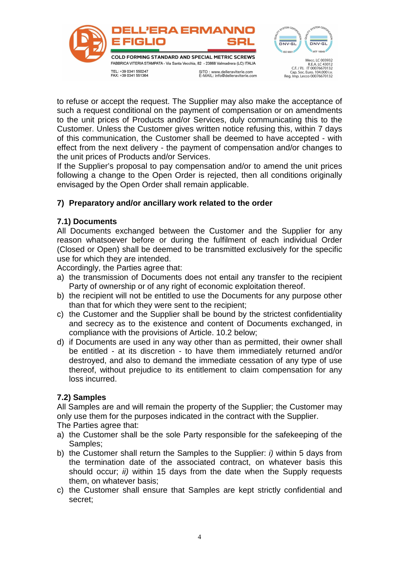

to refuse or accept the request. The Supplier may also make the acceptance of such a request conditional on the payment of compensation or on amendments to the unit prices of Products and/or Services, duly communicating this to the Customer. Unless the Customer gives written notice refusing this, within 7 days of this communication, the Customer shall be deemed to have accepted - with effect from the next delivery - the payment of compensation and/or changes to the unit prices of Products and/or Services.

If the Supplier's proposal to pay compensation and/or to amend the unit prices following a change to the Open Order is rejected, then all conditions originally envisaged by the Open Order shall remain applicable.

# **7) Preparatory and/or ancillary work related to the order**

# **7.1) Documents**

All Documents exchanged between the Customer and the Supplier for any reason whatsoever before or during the fulfilment of each individual Order (Closed or Open) shall be deemed to be transmitted exclusively for the specific use for which they are intended.

Accordingly, the Parties agree that:

- a) the transmission of Documents does not entail any transfer to the recipient Party of ownership or of any right of economic exploitation thereof.
- b) the recipient will not be entitled to use the Documents for any purpose other than that for which they were sent to the recipient;
- c) the Customer and the Supplier shall be bound by the strictest confidentiality and secrecy as to the existence and content of Documents exchanged, in compliance with the provisions of Article. 10.2 below;
- d) if Documents are used in any way other than as permitted, their owner shall be entitled - at its discretion - to have them immediately returned and/or destroyed, and also to demand the immediate cessation of any type of use thereof, without prejudice to its entitlement to claim compensation for any loss incurred.

### **7.2) Samples**

All Samples are and will remain the property of the Supplier; the Customer may only use them for the purposes indicated in the contract with the Supplier.

The Parties agree that:

- a) the Customer shall be the sole Party responsible for the safekeeping of the Samples;
- b) the Customer shall return the Samples to the Supplier: i) within 5 days from the termination date of the associated contract, on whatever basis this should occur; *ii*) within 15 days from the date when the Supply requests them, on whatever basis;
- c) the Customer shall ensure that Samples are kept strictly confidential and secret;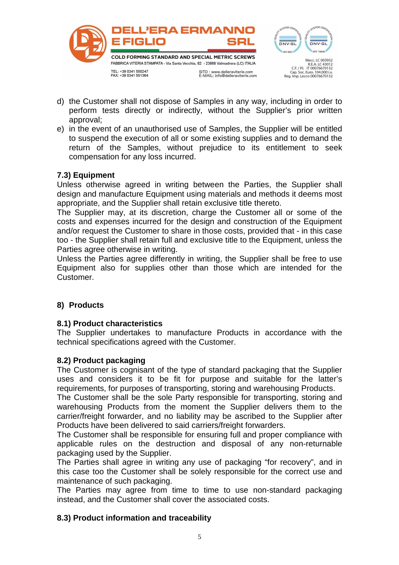

- d) the Customer shall not dispose of Samples in any way, including in order to perform tests directly or indirectly, without the Supplier's prior written approval;
- e) in the event of an unauthorised use of Samples, the Supplier will be entitled to suspend the execution of all or some existing supplies and to demand the return of the Samples, without prejudice to its entitlement to seek compensation for any loss incurred.

# **7.3) Equipment**

Unless otherwise agreed in writing between the Parties, the Supplier shall design and manufacture Equipment using materials and methods it deems most appropriate, and the Supplier shall retain exclusive title thereto.

The Supplier may, at its discretion, charge the Customer all or some of the costs and expenses incurred for the design and construction of the Equipment and/or request the Customer to share in those costs, provided that - in this case too - the Supplier shall retain full and exclusive title to the Equipment, unless the Parties agree otherwise in writing.

Unless the Parties agree differently in writing, the Supplier shall be free to use Equipment also for supplies other than those which are intended for the Customer.

# **8) Products**

### **8.1) Product characteristics**

The Supplier undertakes to manufacture Products in accordance with the technical specifications agreed with the Customer.

### **8.2) Product packaging**

The Customer is cognisant of the type of standard packaging that the Supplier uses and considers it to be fit for purpose and suitable for the latter's requirements, for purposes of transporting, storing and warehousing Products.

The Customer shall be the sole Party responsible for transporting, storing and warehousing Products from the moment the Supplier delivers them to the carrier/freight forwarder, and no liability may be ascribed to the Supplier after Products have been delivered to said carriers/freight forwarders.

The Customer shall be responsible for ensuring full and proper compliance with applicable rules on the destruction and disposal of any non-returnable packaging used by the Supplier.

The Parties shall agree in writing any use of packaging "for recovery", and in this case too the Customer shall be solely responsible for the correct use and maintenance of such packaging.

The Parties may agree from time to time to use non-standard packaging instead, and the Customer shall cover the associated costs.

# **8.3) Product information and traceability**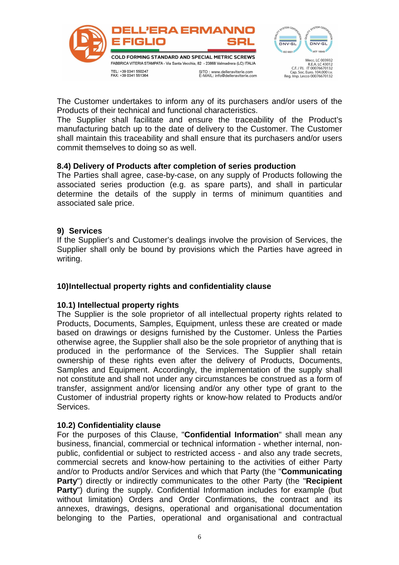

The Customer undertakes to inform any of its purchasers and/or users of the Products of their technical and functional characteristics.

The Supplier shall facilitate and ensure the traceability of the Product's manufacturing batch up to the date of delivery to the Customer. The Customer shall maintain this traceability and shall ensure that its purchasers and/or users commit themselves to doing so as well.

#### **8.4) Delivery of Products after completion of series production**

The Parties shall agree, case-by-case, on any supply of Products following the associated series production (e.g. as spare parts), and shall in particular determine the details of the supply in terms of minimum quantities and associated sale price.

#### **9) Services**

If the Supplier's and Customer's dealings involve the provision of Services, the Supplier shall only be bound by provisions which the Parties have agreed in writing.

### **10) Intellectual property rights and confidentiality clause**

#### **10.1) Intellectual property rights**

The Supplier is the sole proprietor of all intellectual property rights related to Products, Documents, Samples, Equipment, unless these are created or made based on drawings or designs furnished by the Customer. Unless the Parties otherwise agree, the Supplier shall also be the sole proprietor of anything that is produced in the performance of the Services. The Supplier shall retain ownership of these rights even after the delivery of Products, Documents, Samples and Equipment. Accordingly, the implementation of the supply shall not constitute and shall not under any circumstances be construed as a form of transfer, assignment and/or licensing and/or any other type of grant to the Customer of industrial property rights or know-how related to Products and/or Services.

#### **10.2) Confidentiality clause**

For the purposes of this Clause, "**Confidential Information**" shall mean any business, financial, commercial or technical information - whether internal, nonpublic, confidential or subject to restricted access - and also any trade secrets, commercial secrets and know-how pertaining to the activities of either Party and/or to Products and/or Services and which that Party (the "**Communicating Party**") directly or indirectly communicates to the other Party (the "**Recipient Party**") during the supply. Confidential Information includes for example (but without limitation) Orders and Order Confirmations, the contract and its annexes, drawings, designs, operational and organisational documentation belonging to the Parties, operational and organisational and contractual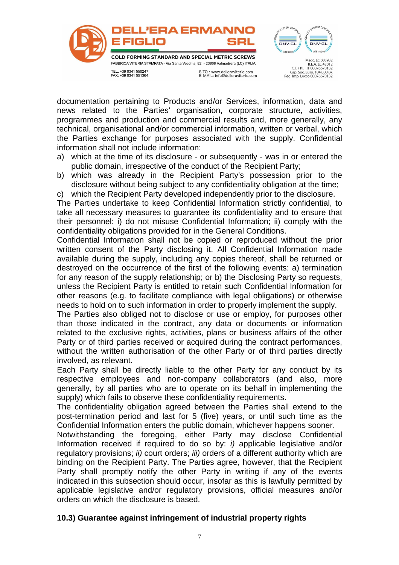

documentation pertaining to Products and/or Services, information, data and news related to the Parties' organisation, corporate structure, activities, programmes and production and commercial results and, more generally, any technical, organisational and/or commercial information, written or verbal, which the Parties exchange for purposes associated with the supply. Confidential information shall not include information:

- a) which at the time of its disclosure or subsequently was in or entered the public domain, irrespective of the conduct of the Recipient Party;
- b) which was already in the Recipient Party's possession prior to the disclosure without being subject to any confidentiality obligation at the time;

c) which the Recipient Party developed independently prior to the disclosure.

The Parties undertake to keep Confidential Information strictly confidential, to take all necessary measures to guarantee its confidentiality and to ensure that their personnel: i) do not misuse Confidential Information; ii) comply with the confidentiality obligations provided for in the General Conditions.

Confidential Information shall not be copied or reproduced without the prior written consent of the Party disclosing it. All Confidential Information made available during the supply, including any copies thereof, shall be returned or destroyed on the occurrence of the first of the following events: a) termination for any reason of the supply relationship; or b) the Disclosing Party so requests, unless the Recipient Party is entitled to retain such Confidential Information for other reasons (e.g. to facilitate compliance with legal obligations) or otherwise needs to hold on to such information in order to properly implement the supply.

The Parties also obliged not to disclose or use or employ, for purposes other than those indicated in the contract, any data or documents or information related to the exclusive rights, activities, plans or business affairs of the other Party or of third parties received or acquired during the contract performances, without the written authorisation of the other Party or of third parties directly involved, as relevant.

Each Party shall be directly liable to the other Party for any conduct by its respective employees and non-company collaborators (and also, more generally, by all parties who are to operate on its behalf in implementing the supply) which fails to observe these confidentiality requirements.

The confidentiality obligation agreed between the Parties shall extend to the post-termination period and last for 5 (five) years, or until such time as the Confidential Information enters the public domain, whichever happens sooner.

Notwithstanding the foregoing, either Party may disclose Confidential Information received if required to do so by: i) applicable legislative and/or regulatory provisions; *ii*) court orders; *iii*) orders of a different authority which are binding on the Recipient Party. The Parties agree, however, that the Recipient Party shall promptly notify the other Party in writing if any of the events indicated in this subsection should occur, insofar as this is lawfully permitted by applicable legislative and/or regulatory provisions, official measures and/or orders on which the disclosure is based.

### **10.3) Guarantee against infringement of industrial property rights**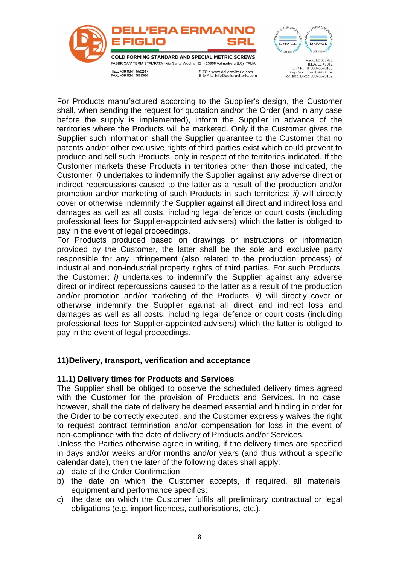

For Products manufactured according to the Supplier's design, the Customer shall, when sending the request for quotation and/or the Order (and in any case before the supply is implemented), inform the Supplier in advance of the territories where the Products will be marketed. Only if the Customer gives the Supplier such information shall the Supplier guarantee to the Customer that no patents and/or other exclusive rights of third parties exist which could prevent to produce and sell such Products, only in respect of the territories indicated. If the Customer markets these Products in territories other than those indicated, the Customer: i) undertakes to indemnify the Supplier against any adverse direct or indirect repercussions caused to the latter as a result of the production and/or promotion and/or marketing of such Products in such territories; *ii*) will directly cover or otherwise indemnify the Supplier against all direct and indirect loss and damages as well as all costs, including legal defence or court costs (including professional fees for Supplier-appointed advisers) which the latter is obliged to pay in the event of legal proceedings.

For Products produced based on drawings or instructions or information provided by the Customer, the latter shall be the sole and exclusive party responsible for any infringement (also related to the production process) of industrial and non-industrial property rights of third parties. For such Products, the Customer: i) undertakes to indemnify the Supplier against any adverse direct or indirect repercussions caused to the latter as a result of the production and/or promotion and/or marketing of the Products; ii) will directly cover or otherwise indemnify the Supplier against all direct and indirect loss and damages as well as all costs, including legal defence or court costs (including professional fees for Supplier-appointed advisers) which the latter is obliged to pay in the event of legal proceedings.

# **11) Delivery, transport, verification and acceptance**

### **11.1) Delivery times for Products and Services**

The Supplier shall be obliged to observe the scheduled delivery times agreed with the Customer for the provision of Products and Services. In no case, however, shall the date of delivery be deemed essential and binding in order for the Order to be correctly executed, and the Customer expressly waives the right to request contract termination and/or compensation for loss in the event of non-compliance with the date of delivery of Products and/or Services.

Unless the Parties otherwise agree in writing, if the delivery times are specified in days and/or weeks and/or months and/or years (and thus without a specific calendar date), then the later of the following dates shall apply:

- a) date of the Order Confirmation;
- b) the date on which the Customer accepts, if required, all materials, equipment and performance specifics;
- c) the date on which the Customer fulfils all preliminary contractual or legal obligations (e.g. import licences, authorisations, etc.).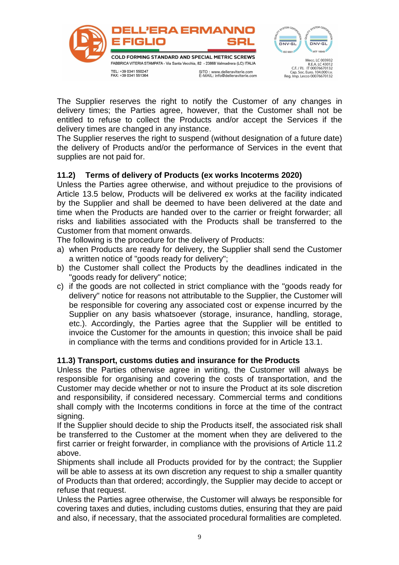

The Supplier reserves the right to notify the Customer of any changes in delivery times; the Parties agree, however, that the Customer shall not be entitled to refuse to collect the Products and/or accept the Services if the delivery times are changed in any instance.

The Supplier reserves the right to suspend (without designation of a future date) the delivery of Products and/or the performance of Services in the event that supplies are not paid for.

# **11.2) Terms of delivery of Products (ex works Incoterms 2020)**

Unless the Parties agree otherwise, and without prejudice to the provisions of Article 13.5 below, Products will be delivered ex works at the facility indicated by the Supplier and shall be deemed to have been delivered at the date and time when the Products are handed over to the carrier or freight forwarder; all risks and liabilities associated with the Products shall be transferred to the Customer from that moment onwards.

The following is the procedure for the delivery of Products:

- a) when Products are ready for delivery, the Supplier shall send the Customer a written notice of "goods ready for delivery";
- b) the Customer shall collect the Products by the deadlines indicated in the "goods ready for delivery" notice;
- c) if the goods are not collected in strict compliance with the "goods ready for delivery" notice for reasons not attributable to the Supplier, the Customer will be responsible for covering any associated cost or expense incurred by the Supplier on any basis whatsoever (storage, insurance, handling, storage, etc.). Accordingly, the Parties agree that the Supplier will be entitled to invoice the Customer for the amounts in question; this invoice shall be paid in compliance with the terms and conditions provided for in Article 13.1.

# **11.3) Transport, customs duties and insurance for the Products**

Unless the Parties otherwise agree in writing, the Customer will always be responsible for organising and covering the costs of transportation, and the Customer may decide whether or not to insure the Product at its sole discretion and responsibility, if considered necessary. Commercial terms and conditions shall comply with the Incoterms conditions in force at the time of the contract signing.

If the Supplier should decide to ship the Products itself, the associated risk shall be transferred to the Customer at the moment when they are delivered to the first carrier or freight forwarder, in compliance with the provisions of Article 11.2 above.

Shipments shall include all Products provided for by the contract; the Supplier will be able to assess at its own discretion any request to ship a smaller quantity of Products than that ordered; accordingly, the Supplier may decide to accept or refuse that request.

Unless the Parties agree otherwise, the Customer will always be responsible for covering taxes and duties, including customs duties, ensuring that they are paid and also, if necessary, that the associated procedural formalities are completed.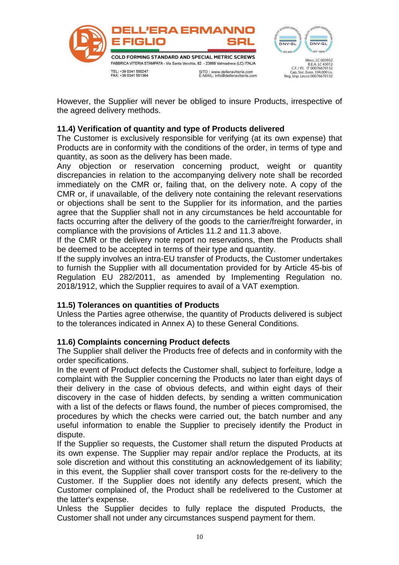

However, the Supplier will never be obliged to insure Products, irrespective of the agreed delivery methods.

### **11.4) Verification of quantity and type of Products delivered**

The Customer is exclusively responsible for verifying (at its own expense) that Products are in conformity with the conditions of the order, in terms of type and quantity, as soon as the delivery has been made.

Any objection or reservation concerning product, weight or quantity discrepancies in relation to the accompanying delivery note shall be recorded immediately on the CMR or, failing that, on the delivery note. A copy of the CMR or, if unavailable, of the delivery note containing the relevant reservations or objections shall be sent to the Supplier for its information, and the parties agree that the Supplier shall not in any circumstances be held accountable for facts occurring after the delivery of the goods to the carrier/freight forwarder, in compliance with the provisions of Articles 11.2 and 11.3 above.

If the CMR or the delivery note report no reservations, then the Products shall be deemed to be accepted in terms of their type and quantity.

If the supply involves an intra-EU transfer of Products, the Customer undertakes to furnish the Supplier with all documentation provided for by Article 45-bis of Regulation EU 282/2011, as amended by Implementing Regulation no. 2018/1912, which the Supplier requires to avail of a VAT exemption.

### **11.5) Tolerances on quantities of Products**

Unless the Parties agree otherwise, the quantity of Products delivered is subject to the tolerances indicated in Annex A) to these General Conditions.

### **11.6) Complaints concerning Product defects**

The Supplier shall deliver the Products free of defects and in conformity with the order specifications.

In the event of Product defects the Customer shall, subject to forfeiture, lodge a complaint with the Supplier concerning the Products no later than eight days of their delivery in the case of obvious defects, and within eight days of their discovery in the case of hidden defects, by sending a written communication with a list of the defects or flaws found, the number of pieces compromised, the procedures by which the checks were carried out, the batch number and any useful information to enable the Supplier to precisely identify the Product in dispute.

If the Supplier so requests, the Customer shall return the disputed Products at its own expense. The Supplier may repair and/or replace the Products, at its sole discretion and without this constituting an acknowledgement of its liability; in this event, the Supplier shall cover transport costs for the re-delivery to the Customer. If the Supplier does not identify any defects present, which the Customer complained of, the Product shall be redelivered to the Customer at the latter's expense.

Unless the Supplier decides to fully replace the disputed Products, the Customer shall not under any circumstances suspend payment for them.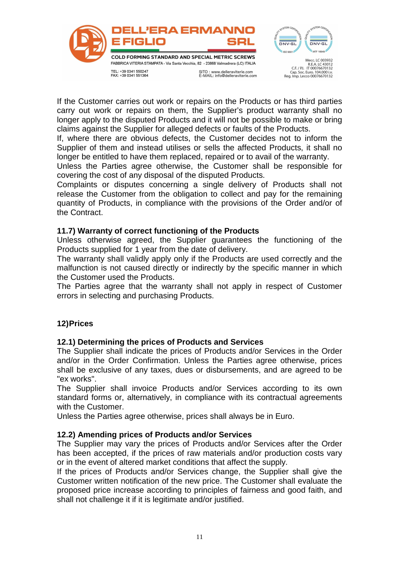

If the Customer carries out work or repairs on the Products or has third parties carry out work or repairs on them, the Supplier's product warranty shall no longer apply to the disputed Products and it will not be possible to make or bring claims against the Supplier for alleged defects or faults of the Products.

If, where there are obvious defects, the Customer decides not to inform the Supplier of them and instead utilises or sells the affected Products, it shall no longer be entitled to have them replaced, repaired or to avail of the warranty.

Unless the Parties agree otherwise, the Customer shall be responsible for covering the cost of any disposal of the disputed Products.

Complaints or disputes concerning a single delivery of Products shall not release the Customer from the obligation to collect and pay for the remaining quantity of Products, in compliance with the provisions of the Order and/or of the Contract.

### **11.7) Warranty of correct functioning of the Products**

Unless otherwise agreed, the Supplier guarantees the functioning of the Products supplied for 1 year from the date of delivery.

The warranty shall validly apply only if the Products are used correctly and the malfunction is not caused directly or indirectly by the specific manner in which the Customer used the Products.

The Parties agree that the warranty shall not apply in respect of Customer errors in selecting and purchasing Products.

### **12) Prices**

### **12.1) Determining the prices of Products and Services**

The Supplier shall indicate the prices of Products and/or Services in the Order and/or in the Order Confirmation. Unless the Parties agree otherwise, prices shall be exclusive of any taxes, dues or disbursements, and are agreed to be "ex works".

The Supplier shall invoice Products and/or Services according to its own standard forms or, alternatively, in compliance with its contractual agreements with the Customer.

Unless the Parties agree otherwise, prices shall always be in Euro.

### **12.2) Amending prices of Products and/or Services**

The Supplier may vary the prices of Products and/or Services after the Order has been accepted, if the prices of raw materials and/or production costs vary or in the event of altered market conditions that affect the supply.

If the prices of Products and/or Services change, the Supplier shall give the Customer written notification of the new price. The Customer shall evaluate the proposed price increase according to principles of fairness and good faith, and shall not challenge it if it is legitimate and/or justified.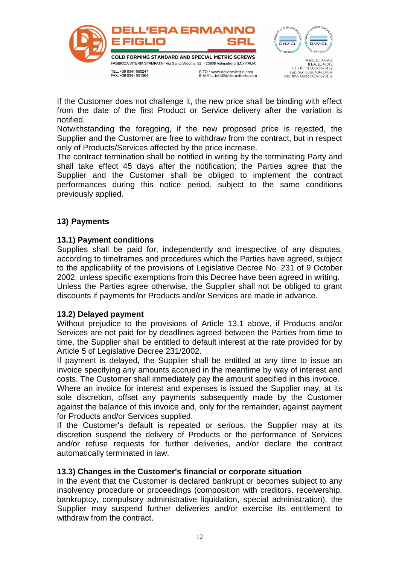

If the Customer does not challenge it, the new price shall be binding with effect from the date of the first Product or Service delivery after the variation is notified.

Notwithstanding the foregoing, if the new proposed price is rejected, the Supplier and the Customer are free to withdraw from the contract, but in respect only of Products/Services affected by the price increase.

The contract termination shall be notified in writing by the terminating Party and shall take effect 45 days after the notification; the Parties agree that the Supplier and the Customer shall be obliged to implement the contract performances during this notice period, subject to the same conditions previously applied.

### **13) Payments**

### **13.1) Payment conditions**

Supplies shall be paid for, independently and irrespective of any disputes, according to timeframes and procedures which the Parties have agreed, subject to the applicability of the provisions of Legislative Decree No. 231 of 9 October 2002, unless specific exemptions from this Decree have been agreed in writing. Unless the Parties agree otherwise, the Supplier shall not be obliged to grant discounts if payments for Products and/or Services are made in advance.

### **13.2) Delayed payment**

Without prejudice to the provisions of Article 13.1 above, if Products and/or Services are not paid for by deadlines agreed between the Parties from time to time, the Supplier shall be entitled to default interest at the rate provided for by Article 5 of Legislative Decree 231/2002.

If payment is delayed, the Supplier shall be entitled at any time to issue an invoice specifying any amounts accrued in the meantime by way of interest and costs. The Customer shall immediately pay the amount specified in this invoice.

Where an invoice for interest and expenses is issued the Supplier may, at its sole discretion, offset any payments subsequently made by the Customer against the balance of this invoice and, only for the remainder, against payment for Products and/or Services supplied.

If the Customer's default is repeated or serious, the Supplier may at its discretion suspend the delivery of Products or the performance of Services and/or refuse requests for further deliveries, and/or declare the contract automatically terminated in law.

### **13.3) Changes in the Customer's financial or corporate situation**

In the event that the Customer is declared bankrupt or becomes subject to any insolvency procedure or proceedings (composition with creditors, receivership, bankruptcy, compulsory administrative liquidation, special administration), the Supplier may suspend further deliveries and/or exercise its entitlement to withdraw from the contract.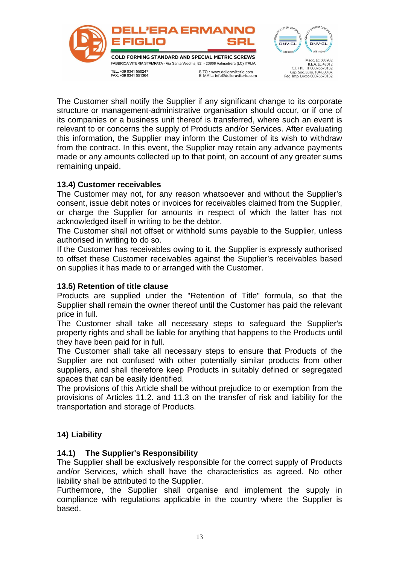

The Customer shall notify the Supplier if any significant change to its corporate structure or management-administrative organisation should occur, or if one of its companies or a business unit thereof is transferred, where such an event is relevant to or concerns the supply of Products and/or Services. After evaluating this information, the Supplier may inform the Customer of its wish to withdraw from the contract. In this event, the Supplier may retain any advance payments made or any amounts collected up to that point, on account of any greater sums remaining unpaid.

# **13.4) Customer receivables**

The Customer may not, for any reason whatsoever and without the Supplier's consent, issue debit notes or invoices for receivables claimed from the Supplier, or charge the Supplier for amounts in respect of which the latter has not acknowledged itself in writing to be the debtor.

The Customer shall not offset or withhold sums payable to the Supplier, unless authorised in writing to do so.

If the Customer has receivables owing to it, the Supplier is expressly authorised to offset these Customer receivables against the Supplier's receivables based on supplies it has made to or arranged with the Customer.

### **13.5) Retention of title clause**

Products are supplied under the "Retention of Title" formula, so that the Supplier shall remain the owner thereof until the Customer has paid the relevant price in full.

The Customer shall take all necessary steps to safeguard the Supplier's property rights and shall be liable for anything that happens to the Products until they have been paid for in full.

The Customer shall take all necessary steps to ensure that Products of the Supplier are not confused with other potentially similar products from other suppliers, and shall therefore keep Products in suitably defined or segregated spaces that can be easily identified.

The provisions of this Article shall be without prejudice to or exemption from the provisions of Articles 11.2. and 11.3 on the transfer of risk and liability for the transportation and storage of Products.

# **14) Liability**

### **14.1) The Supplier's Responsibility**

The Supplier shall be exclusively responsible for the correct supply of Products and/or Services, which shall have the characteristics as agreed. No other liability shall be attributed to the Supplier.

Furthermore, the Supplier shall organise and implement the supply in compliance with regulations applicable in the country where the Supplier is based.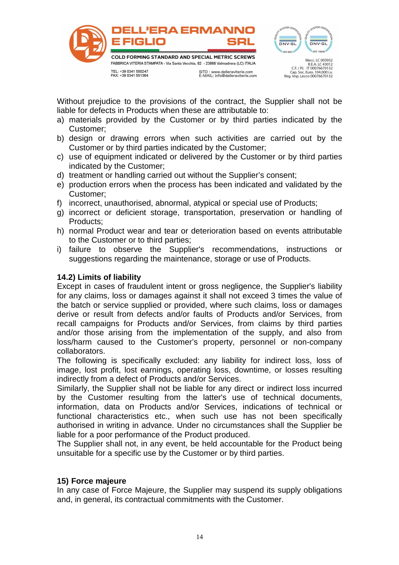



Without prejudice to the provisions of the contract, the Supplier shall not be liable for defects in Products when these are attributable to:

- a) materials provided by the Customer or by third parties indicated by the Customer;
- b) design or drawing errors when such activities are carried out by the Customer or by third parties indicated by the Customer;
- c) use of equipment indicated or delivered by the Customer or by third parties indicated by the Customer;
- d) treatment or handling carried out without the Supplier's consent;
- e) production errors when the process has been indicated and validated by the Customer;
- f) incorrect, unauthorised, abnormal, atypical or special use of Products;
- g) incorrect or deficient storage, transportation, preservation or handling of Products;
- h) normal Product wear and tear or deterioration based on events attributable to the Customer or to third parties;
- i) failure to observe the Supplier's recommendations, instructions or suggestions regarding the maintenance, storage or use of Products.

### **14.2) Limits of liability**

Except in cases of fraudulent intent or gross negligence, the Supplier's liability for any claims, loss or damages against it shall not exceed 3 times the value of the batch or service supplied or provided, where such claims, loss or damages derive or result from defects and/or faults of Products and/or Services, from recall campaigns for Products and/or Services, from claims by third parties and/or those arising from the implementation of the supply, and also from loss/harm caused to the Customer's property, personnel or non-company collaborators.

The following is specifically excluded: any liability for indirect loss, loss of image, lost profit, lost earnings, operating loss, downtime, or losses resulting indirectly from a defect of Products and/or Services.

Similarly, the Supplier shall not be liable for any direct or indirect loss incurred by the Customer resulting from the latter's use of technical documents, information, data on Products and/or Services, indications of technical or functional characteristics etc., when such use has not been specifically authorised in writing in advance. Under no circumstances shall the Supplier be liable for a poor performance of the Product produced.

The Supplier shall not, in any event, be held accountable for the Product being unsuitable for a specific use by the Customer or by third parties.

### **15) Force majeure**

In any case of Force Majeure, the Supplier may suspend its supply obligations and, in general, its contractual commitments with the Customer.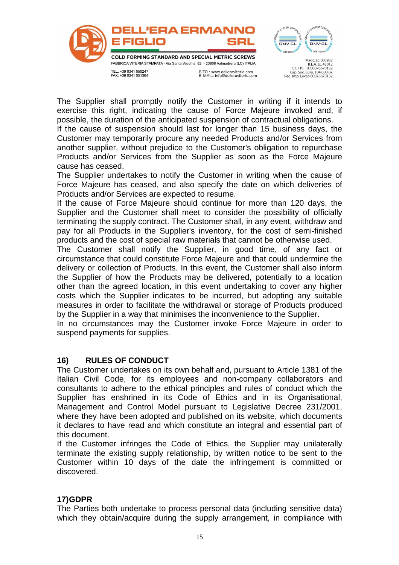

The Supplier shall promptly notify the Customer in writing if it intends to exercise this right, indicating the cause of Force Majeure invoked and, if possible, the duration of the anticipated suspension of contractual obligations.

If the cause of suspension should last for longer than 15 business days, the Customer may temporarily procure any needed Products and/or Services from another supplier, without prejudice to the Customer's obligation to repurchase Products and/or Services from the Supplier as soon as the Force Majeure cause has ceased.

The Supplier undertakes to notify the Customer in writing when the cause of Force Majeure has ceased, and also specify the date on which deliveries of Products and/or Services are expected to resume.

If the cause of Force Majeure should continue for more than 120 days, the Supplier and the Customer shall meet to consider the possibility of officially terminating the supply contract. The Customer shall, in any event, withdraw and pay for all Products in the Supplier's inventory, for the cost of semi-finished products and the cost of special raw materials that cannot be otherwise used.

The Customer shall notify the Supplier, in good time, of any fact or circumstance that could constitute Force Majeure and that could undermine the delivery or collection of Products. In this event, the Customer shall also inform the Supplier of how the Products may be delivered, potentially to a location other than the agreed location, in this event undertaking to cover any higher costs which the Supplier indicates to be incurred, but adopting any suitable measures in order to facilitate the withdrawal or storage of Products produced by the Supplier in a way that minimises the inconvenience to the Supplier.

In no circumstances may the Customer invoke Force Majeure in order to suspend payments for supplies.

# **16) RULES OF CONDUCT**

The Customer undertakes on its own behalf and, pursuant to Article 1381 of the Italian Civil Code, for its employees and non-company collaborators and consultants to adhere to the ethical principles and rules of conduct which the Supplier has enshrined in its Code of Ethics and in its Organisational, Management and Control Model pursuant to Legislative Decree 231/2001, where they have been adopted and published on its website, which documents it declares to have read and which constitute an integral and essential part of this document.

If the Customer infringes the Code of Ethics, the Supplier may unilaterally terminate the existing supply relationship, by written notice to be sent to the Customer within 10 days of the date the infringement is committed or discovered.

### **17) GDPR**

The Parties both undertake to process personal data (including sensitive data) which they obtain/acquire during the supply arrangement, in compliance with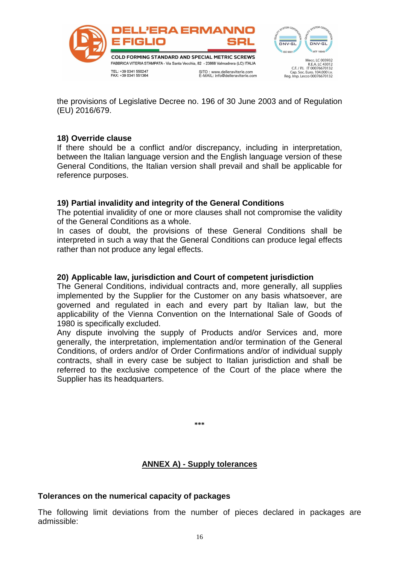

the provisions of Legislative Decree no. 196 of 30 June 2003 and of Regulation (EU) 2016/679.

### **18) Override clause**

If there should be a conflict and/or discrepancy, including in interpretation, between the Italian language version and the English language version of these General Conditions, the Italian version shall prevail and shall be applicable for reference purposes.

### **19) Partial invalidity and integrity of the General Conditions**

The potential invalidity of one or more clauses shall not compromise the validity of the General Conditions as a whole.

In cases of doubt, the provisions of these General Conditions shall be interpreted in such a way that the General Conditions can produce legal effects rather than not produce any legal effects.

### **20) Applicable law, jurisdiction and Court of competent jurisdiction**

The General Conditions, individual contracts and, more generally, all supplies implemented by the Supplier for the Customer on any basis whatsoever, are governed and regulated in each and every part by Italian law, but the applicability of the Vienna Convention on the International Sale of Goods of 1980 is specifically excluded.

Any dispute involving the supply of Products and/or Services and, more generally, the interpretation, implementation and/or termination of the General Conditions, of orders and/or of Order Confirmations and/or of individual supply contracts, shall in every case be subject to Italian jurisdiction and shall be referred to the exclusive competence of the Court of the place where the Supplier has its headquarters.

**\*\*\***

# **ANNEX A) - Supply tolerances**

### **Tolerances on the numerical capacity of packages**

The following limit deviations from the number of pieces declared in packages are admissible: